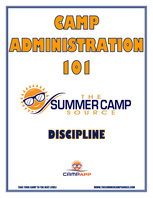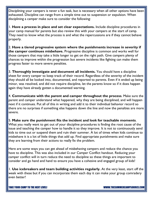Disciplining your campers is never a fun task, but is necessary when all other options have been exhausted. Discipline can range from a simple time out to suspension or expulsion. When disciplining a camper make sure to consider the following:

1. **Have a process in place and set clear expectations.** Include discipline procedures in your camp manual for parents but also review this with your campers at the start of camp. They need to know what the process is and what the repercussions are if they cannot behave properly.

2. **Have a tiered progressive system where the punishments increase in severity if the camper continues misbehave.** Progressive discipline is common and works well for those campers that may take a little longer to get on the right path. Give campers plenty of chances to improve within the progression but severe incidents like fighting can make them progress faster to more severe penalties.

3. **Thoroughly investigate and document all incidents.** You should have a discipline sheet for every camper to keep track of their record. Regardless of the severity of the incident they should all be looked into, documented, and reported to parents. Even if it ended up being minor, was resolved, and did not require discipline, let the parents know so if it does happen again they have already gotten a documented warning.

4. **Communicate with the parent and camper throughout the process**. Make sure the parent and camper understand what happened, why they are being disciplined, and will happen next if it continues. Put all of this in writing and add it to their individual behavior record so there are no surprises if something else happens down the line and now the penalties are more severe.

5. **Make sure the punishment fits the incident and look for teachable moments**. What you really want to get out of your discipline procedures is finding the root cause of the issue and teaching the camper how to handle it so they improve. It is not to continuously send kids to time out or suspend them and ruin their summer. A lot of times when kids continue to misbehave it is a lot of little things that add up. Find appropriate punishments and make sure they are learning from their actions to really fix the problem.

Here are some ways you can get ahead of misbehaving campers and reduce the chance you have to discipline. This was also included in our Camper Conflict handout. Reducing your camper conflict will in turn reduce the need to discipline so these things are important to consider and go hand and hand to ensure you have a cohesive and engaged group of kids!

1. **Use icebreakers and team building activities regularly.** At the very least, start off the week with these but if you can incorporate them each day it can make your group comradery even better!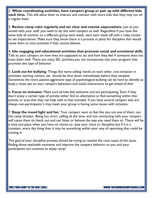2. **When coordinating activities, have campers group or pair up with different kids each time.** This will allow them to interact and connect with more kids that they may not on a regular basis.

3. **Review camp rules regularly and set clear and concise expectations**. Just as you would with your staff, you need to do this with campers as well. Regardless if you have the same kids all summer or a different group each week, start each week off with a rules review to set expectations. Make sure they know there is a process in place for discipline that would cause them to miss activities if they cannot behave.

4. **Use engaging and educational activities that promote social and emotional skills**. Talk to your campers on how they are supposed to act and how they feel if someone does not treat them well. There are many SEL activities you can incorporate into your program that promote this type of behavior.

5. **Look out for bullying**. Things like name calling, hands on each other, non-inclusion in activities, starting rumors, etc. should be shut down immediately before they escalate. Sometimes the more passive aggressive type of psychological bullying can be hard to identify so keep a close eye on your campers behaviors and social interactions to get ahead of this!

6. **Focus on inclusion**. Make sure all kids feel welcome and are participating. Even if they don't enjoy a certain type of activity either find an alternative or find something within that activity or area that they can help with to feel included. If you have several campers that are always non-participants it may mean your group is having some issues with inclusion.

7. **Keep the mood light and fun**. Your campers want to feel like you are one of them, not the camp dictator. Being too strict, yelling all the time, and not connecting with your campers will cause them to check out and not listen or behave the way you need them to. There will be a time and place when you have no choice to raise your voice or discipline but if it is a constant, every day thing then it may be something within your way of operating that could be causing it.

The goal of your discipline process should be trying to resolve the root cause of the issue, finding those teachable moments and improve the campers behavior so you and your participants can continue to enjoy camp!